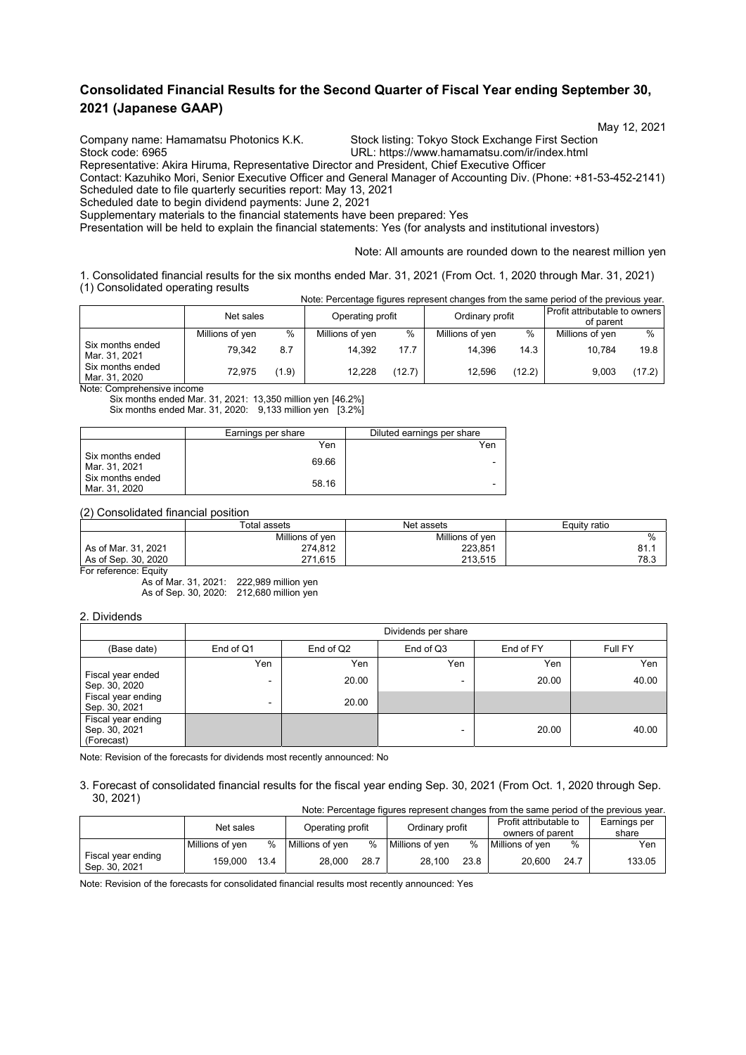## **Consolidated Financial Results for the Second Quarter of Fiscal Year ending September 30, 2021 (Japanese GAAP)**

 May 12, 2021 Company name: Hamamatsu Photonics K.K. Stock listing: Tokyo Stock Exchange First Section

Stock code: 6965 URL: https://www.hamamatsu.com/ir/index.html

Representative: Akira Hiruma, Representative Director and President, Chief Executive Officer

Contact: Kazuhiko Mori, Senior Executive Officer and General Manager of Accounting Div. (Phone: +81-53-452-2141) Scheduled date to file quarterly securities report: May 13, 2021

Scheduled date to begin dividend payments: June 2, 2021

Supplementary materials to the financial statements have been prepared: Yes

Presentation will be held to explain the financial statements: Yes (for analysts and institutional investors)

Note: All amounts are rounded down to the nearest million yen

1. Consolidated financial results for the six months ended Mar. 31, 2021 (From Oct. 1, 2020 through Mar. 31, 2021) (1) Consolidated operating results Note: Percentage figures represent changes from the same period of the previous year.

| ivute. Felderitage ligules represent changes from the same pendu of the previous year. |                 |       |                  |        |                 |        |                                                     |        |
|----------------------------------------------------------------------------------------|-----------------|-------|------------------|--------|-----------------|--------|-----------------------------------------------------|--------|
|                                                                                        | Net sales       |       | Operating profit |        | Ordinary profit |        | <b>Profit attributable to owners I</b><br>of parent |        |
|                                                                                        | Millions of yen | %     | Millions of yen  | %      | Millions of yen | %      | Millions of yen                                     | %      |
| Six months ended<br>Mar. 31, 2021                                                      | 79.342          | 8.7   | 14.392           | 17.7   | 14.396          | 14.3   | 10.784                                              | 19.8   |
| Six months ended<br>Mar. 31, 2020                                                      | 72.975          | (1.9) | 12.228           | (12.7) | 12,596          | (12.2) | 9.003                                               | (17.2) |

Note: Comprehensive income

Six months ended Mar. 31, 2021: 13,350 million yen [46.2%] Six months ended Mar. 31, 2020: 9,133 million yen [3.2%]

|                                   | Earnings per share | Diluted earnings per share |
|-----------------------------------|--------------------|----------------------------|
|                                   | Yen                | Yen                        |
| Six months ended<br>Mar. 31, 2021 | 69.66              | $\overline{\phantom{0}}$   |
| Six months ended<br>Mar. 31. 2020 | 58.16              | -                          |

(2) Consolidated financial position

|                     | Total assets    | Net assets      | Equity ratio |  |
|---------------------|-----------------|-----------------|--------------|--|
|                     | Millions of yen | Millions of ven | %            |  |
| As of Mar. 31, 2021 | 274,812         | 223.851         | 81.1         |  |
| As of Sep. 30, 2020 | 271.615         | 213.515         | 78.3         |  |

For reference: Equity

As of Mar. 31, 2021: 222,989 million yen As of Sep. 30, 2020: 212,680 million yen

#### 2. Dividends

|                                                   |                          | Dividends per share |           |           |         |  |  |  |
|---------------------------------------------------|--------------------------|---------------------|-----------|-----------|---------|--|--|--|
| (Base date)                                       | End of Q1                | End of Q2           | End of Q3 | End of FY | Full FY |  |  |  |
|                                                   | Yen                      | Yen                 | Yen       | Yen       | Yen     |  |  |  |
| Fiscal year ended<br>Sep. 30, 2020                | $\overline{\phantom{a}}$ | 20.00               | -         | 20.00     | 40.00   |  |  |  |
| Fiscal year ending<br>Sep. 30, 2021               | $\overline{\phantom{a}}$ | 20.00               |           |           |         |  |  |  |
| Fiscal year ending<br>Sep. 30, 2021<br>(Forecast) |                          |                     |           | 20.00     | 40.00   |  |  |  |

Note: Revision of the forecasts for dividends most recently announced: No

<sup>3.</sup> Forecast of consolidated financial results for the fiscal year ending Sep. 30, 2021 (From Oct. 1, 2020 through Sep. 30, 2021) Note: Percentage figures represent changes from the same period of the previous year.

| TVUC. I CIUCTILAJE TIJULES TEPIESEITI UTAITIJES TIUTI LITE SAITIE PETIUU UT LITE PIEVIUUS VEAT. |                 |      |                  |      |                 |      |                                            |      |                       |
|-------------------------------------------------------------------------------------------------|-----------------|------|------------------|------|-----------------|------|--------------------------------------------|------|-----------------------|
|                                                                                                 | Net sales       |      | Operating profit |      | Ordinary profit |      | Profit attributable to<br>owners of parent |      | Earnings per<br>share |
|                                                                                                 | Millions of ven | $\%$ | Millions of ven  | %    | Millions of ven | %    | Millions of ven                            | %    | Yen                   |
| Fiscal year ending<br>Sep. 30, 2021                                                             | 159.000         | 13.4 | 28.000           | 28.7 | 28.100          | 23.8 | 20.600                                     | 24.7 | 133.05                |

Note: Revision of the forecasts for consolidated financial results most recently announced: Yes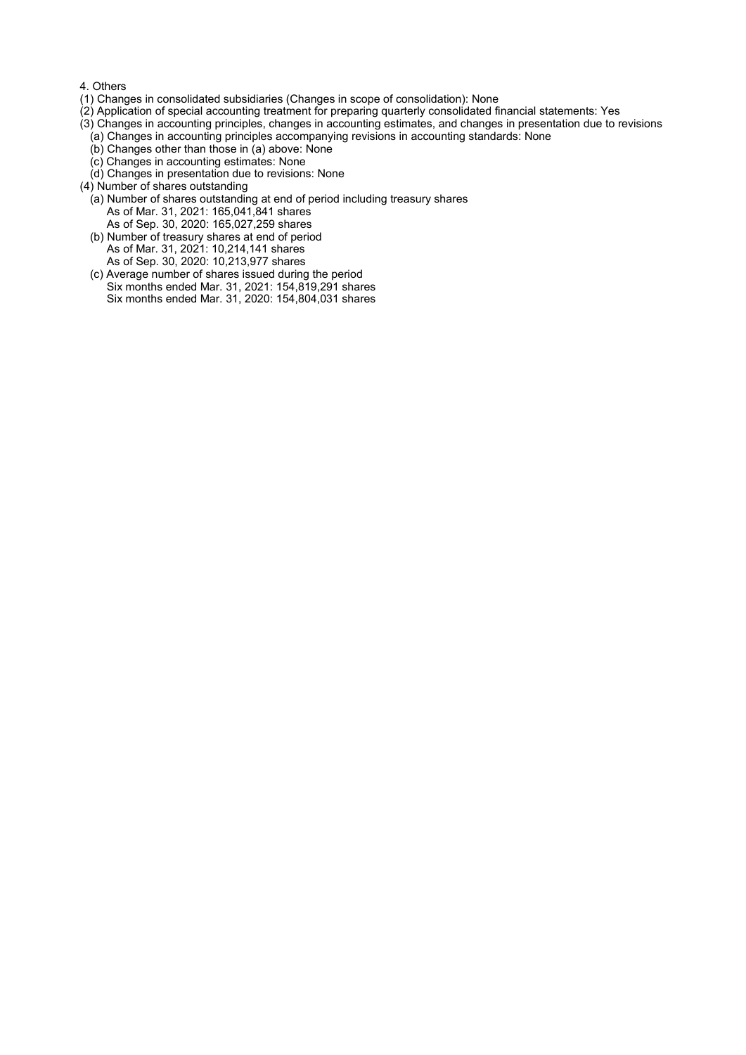#### 4. Others

- (1) Changes in consolidated subsidiaries (Changes in scope of consolidation): None
- (2) Application of special accounting treatment for preparing quarterly consolidated financial statements: Yes
- (3) Changes in accounting principles, changes in accounting estimates, and changes in presentation due to revisions
	- (a) Changes in accounting principles accompanying revisions in accounting standards: None
	- (b) Changes other than those in (a) above: None
	- (c) Changes in accounting estimates: None
	- (d) Changes in presentation due to revisions: None
- (4) Number of shares outstanding
	- (a) Number of shares outstanding at end of period including treasury shares As of Mar. 31, 2021: 165,041,841 shares As of Sep. 30, 2020: 165,027,259 shares
	- (b) Number of treasury shares at end of period As of Mar. 31, 2021: 10,214,141 shares As of Sep. 30, 2020: 10,213,977 shares
	- (c) Average number of shares issued during the period Six months ended Mar. 31, 2021: 154,819,291 shares Six months ended Mar. 31, 2020: 154,804,031 shares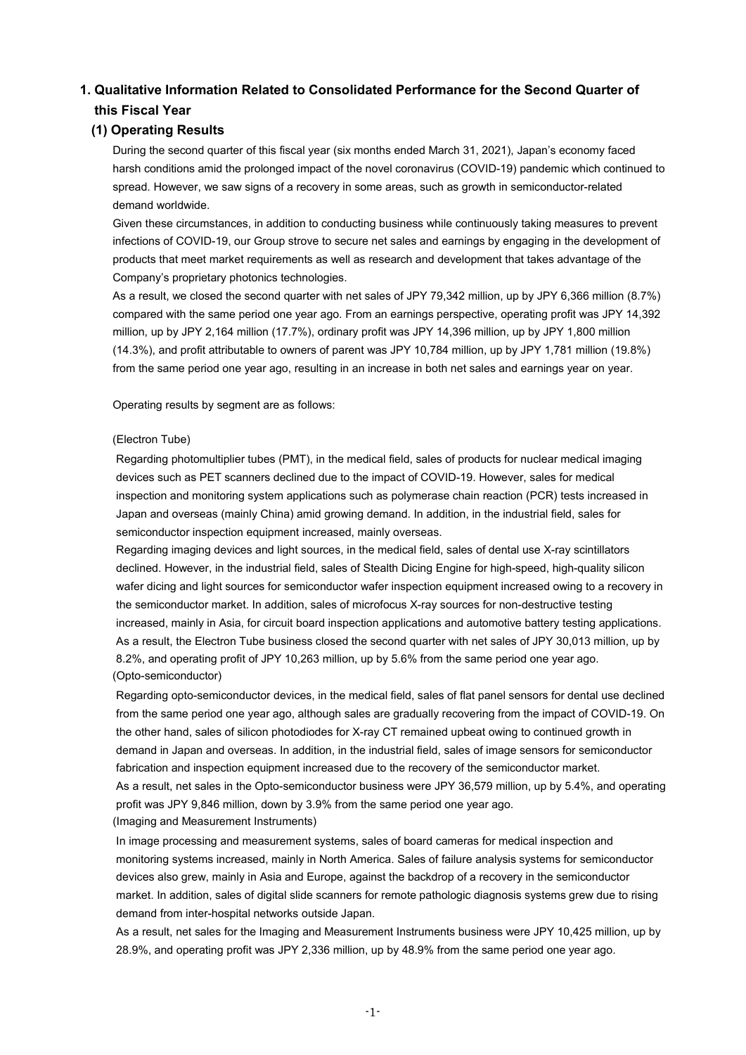# **1. Qualitative Information Related to Consolidated Performance for the Second Quarter of this Fiscal Year**

## **(1) Operating Results**

During the second quarter of this fiscal year (six months ended March 31, 2021), Japan's economy faced harsh conditions amid the prolonged impact of the novel coronavirus (COVID-19) pandemic which continued to spread. However, we saw signs of a recovery in some areas, such as growth in semiconductor-related demand worldwide.

Given these circumstances, in addition to conducting business while continuously taking measures to prevent infections of COVID-19, our Group strove to secure net sales and earnings by engaging in the development of products that meet market requirements as well as research and development that takes advantage of the Company's proprietary photonics technologies.

As a result, we closed the second quarter with net sales of JPY 79,342 million, up by JPY 6,366 million (8.7%) compared with the same period one year ago. From an earnings perspective, operating profit was JPY 14,392 million, up by JPY 2,164 million (17.7%), ordinary profit was JPY 14,396 million, up by JPY 1,800 million (14.3%), and profit attributable to owners of parent was JPY 10,784 million, up by JPY 1,781 million (19.8%) from the same period one year ago, resulting in an increase in both net sales and earnings year on year.

Operating results by segment are as follows:

### (Electron Tube)

Regarding photomultiplier tubes (PMT), in the medical field, sales of products for nuclear medical imaging devices such as PET scanners declined due to the impact of COVID-19. However, sales for medical inspection and monitoring system applications such as polymerase chain reaction (PCR) tests increased in Japan and overseas (mainly China) amid growing demand. In addition, in the industrial field, sales for semiconductor inspection equipment increased, mainly overseas.

Regarding imaging devices and light sources, in the medical field, sales of dental use X-ray scintillators declined. However, in the industrial field, sales of Stealth Dicing Engine for high-speed, high-quality silicon wafer dicing and light sources for semiconductor wafer inspection equipment increased owing to a recovery in the semiconductor market. In addition, sales of microfocus X-ray sources for non-destructive testing increased, mainly in Asia, for circuit board inspection applications and automotive battery testing applications. As a result, the Electron Tube business closed the second quarter with net sales of JPY 30,013 million, up by 8.2%, and operating profit of JPY 10,263 million, up by 5.6% from the same period one year ago. (Opto-semiconductor)

Regarding opto-semiconductor devices, in the medical field, sales of flat panel sensors for dental use declined from the same period one year ago, although sales are gradually recovering from the impact of COVID-19. On the other hand, sales of silicon photodiodes for X-ray CT remained upbeat owing to continued growth in demand in Japan and overseas. In addition, in the industrial field, sales of image sensors for semiconductor fabrication and inspection equipment increased due to the recovery of the semiconductor market. As a result, net sales in the Opto-semiconductor business were JPY 36,579 million, up by 5.4%, and operating profit was JPY 9,846 million, down by 3.9% from the same period one year ago. (Imaging and Measurement Instruments)

In image processing and measurement systems, sales of board cameras for medical inspection and monitoring systems increased, mainly in North America. Sales of failure analysis systems for semiconductor devices also grew, mainly in Asia and Europe, against the backdrop of a recovery in the semiconductor market. In addition, sales of digital slide scanners for remote pathologic diagnosis systems grew due to rising demand from inter-hospital networks outside Japan.

As a result, net sales for the Imaging and Measurement Instruments business were JPY 10,425 million, up by 28.9%, and operating profit was JPY 2,336 million, up by 48.9% from the same period one year ago.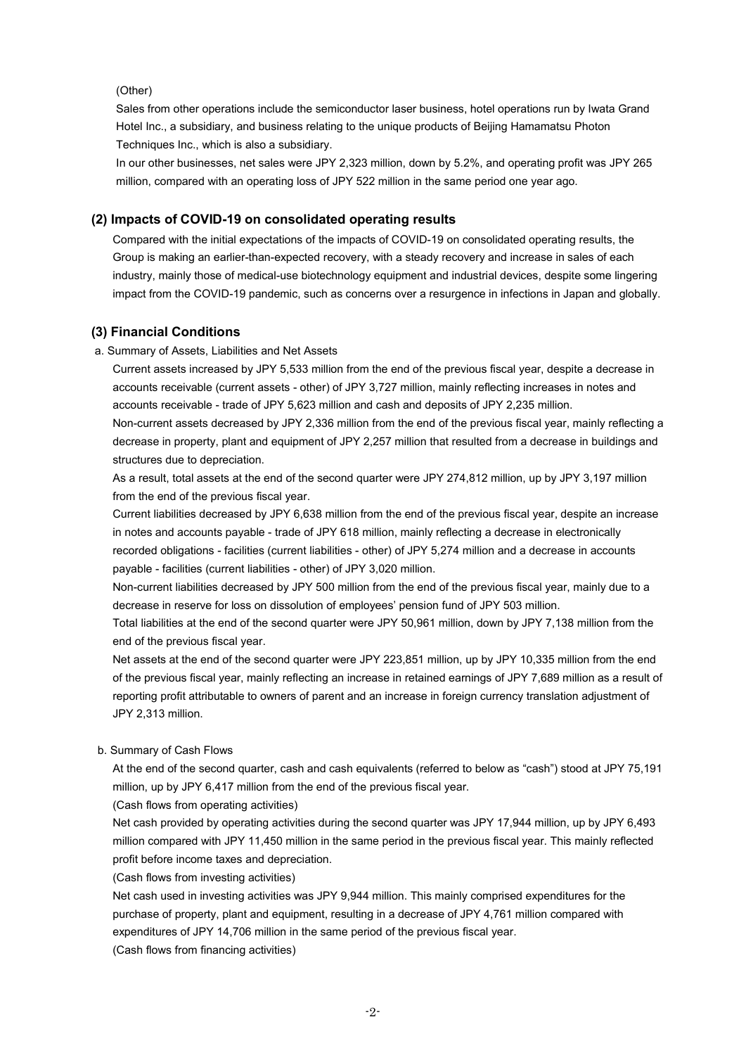#### (Other)

Sales from other operations include the semiconductor laser business, hotel operations run by Iwata Grand Hotel Inc., a subsidiary, and business relating to the unique products of Beijing Hamamatsu Photon Techniques Inc., which is also a subsidiary.

In our other businesses, net sales were JPY 2,323 million, down by 5.2%, and operating profit was JPY 265 million, compared with an operating loss of JPY 522 million in the same period one year ago.

### **(2) Impacts of COVID-19 on consolidated operating results**

Compared with the initial expectations of the impacts of COVID-19 on consolidated operating results, the Group is making an earlier-than-expected recovery, with a steady recovery and increase in sales of each industry, mainly those of medical-use biotechnology equipment and industrial devices, despite some lingering impact from the COVID-19 pandemic, such as concerns over a resurgence in infections in Japan and globally.

### **(3) Financial Conditions**

a. Summary of Assets, Liabilities and Net Assets

Current assets increased by JPY 5,533 million from the end of the previous fiscal year, despite a decrease in accounts receivable (current assets - other) of JPY 3,727 million, mainly reflecting increases in notes and accounts receivable - trade of JPY 5,623 million and cash and deposits of JPY 2,235 million.

Non-current assets decreased by JPY 2,336 million from the end of the previous fiscal year, mainly reflecting a decrease in property, plant and equipment of JPY 2,257 million that resulted from a decrease in buildings and structures due to depreciation.

As a result, total assets at the end of the second quarter were JPY 274,812 million, up by JPY 3,197 million from the end of the previous fiscal year.

Current liabilities decreased by JPY 6,638 million from the end of the previous fiscal year, despite an increase in notes and accounts payable - trade of JPY 618 million, mainly reflecting a decrease in electronically recorded obligations - facilities (current liabilities - other) of JPY 5,274 million and a decrease in accounts payable - facilities (current liabilities - other) of JPY 3,020 million.

Non-current liabilities decreased by JPY 500 million from the end of the previous fiscal year, mainly due to a decrease in reserve for loss on dissolution of employees' pension fund of JPY 503 million.

Total liabilities at the end of the second quarter were JPY 50,961 million, down by JPY 7,138 million from the end of the previous fiscal year.

Net assets at the end of the second quarter were JPY 223,851 million, up by JPY 10,335 million from the end of the previous fiscal year, mainly reflecting an increase in retained earnings of JPY 7,689 million as a result of reporting profit attributable to owners of parent and an increase in foreign currency translation adjustment of JPY 2,313 million.

#### b. Summary of Cash Flows

At the end of the second quarter, cash and cash equivalents (referred to below as "cash") stood at JPY 75,191 million, up by JPY 6,417 million from the end of the previous fiscal year.

(Cash flows from operating activities)

Net cash provided by operating activities during the second quarter was JPY 17,944 million, up by JPY 6,493 million compared with JPY 11,450 million in the same period in the previous fiscal year. This mainly reflected profit before income taxes and depreciation.

(Cash flows from investing activities)

Net cash used in investing activities was JPY 9,944 million. This mainly comprised expenditures for the purchase of property, plant and equipment, resulting in a decrease of JPY 4,761 million compared with expenditures of JPY 14,706 million in the same period of the previous fiscal year.

(Cash flows from financing activities)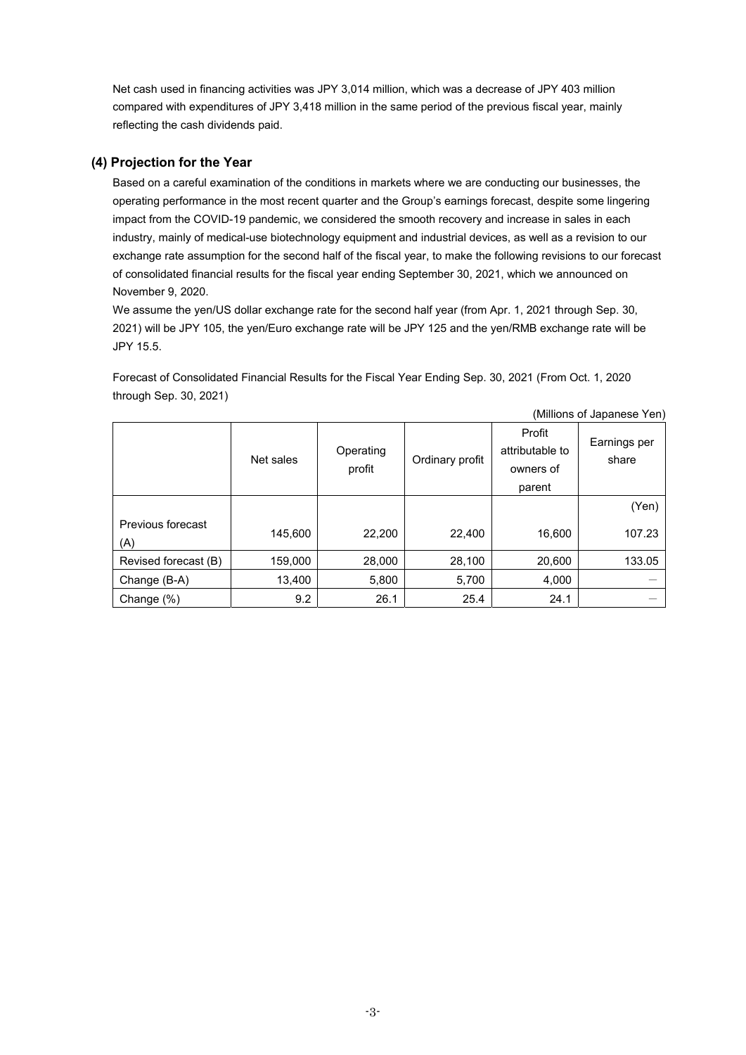Net cash used in financing activities was JPY 3,014 million, which was a decrease of JPY 403 million compared with expenditures of JPY 3,418 million in the same period of the previous fiscal year, mainly reflecting the cash dividends paid.

### **(4) Projection for the Year**

Based on a careful examination of the conditions in markets where we are conducting our businesses, the operating performance in the most recent quarter and the Group's earnings forecast, despite some lingering impact from the COVID-19 pandemic, we considered the smooth recovery and increase in sales in each industry, mainly of medical-use biotechnology equipment and industrial devices, as well as a revision to our exchange rate assumption for the second half of the fiscal year, to make the following revisions to our forecast of consolidated financial results for the fiscal year ending September 30, 2021, which we announced on November 9, 2020.

We assume the yen/US dollar exchange rate for the second half year (from Apr. 1, 2021 through Sep. 30, 2021) will be JPY 105, the yen/Euro exchange rate will be JPY 125 and the yen/RMB exchange rate will be JPY 15.5.

Forecast of Consolidated Financial Results for the Fiscal Year Ending Sep. 30, 2021 (From Oct. 1, 2020 through Sep. 30, 2021)

|                      | Net sales | Operating<br>profit | Ordinary profit | Profit<br>attributable to<br>owners of<br>parent | Earnings per<br>share |
|----------------------|-----------|---------------------|-----------------|--------------------------------------------------|-----------------------|
|                      |           |                     |                 |                                                  | (Yen)                 |
| Previous forecast    | 145,600   | 22,200              | 22,400          | 16,600                                           | 107.23                |
| (A)                  |           |                     |                 |                                                  |                       |
| Revised forecast (B) | 159,000   | 28,000              | 28,100          | 20,600                                           | 133.05                |
| Change (B-A)         | 13,400    | 5,800               | 5,700           | 4,000                                            |                       |
| Change (%)           | 9.2       | 26.1                | 25.4            | 24.1                                             |                       |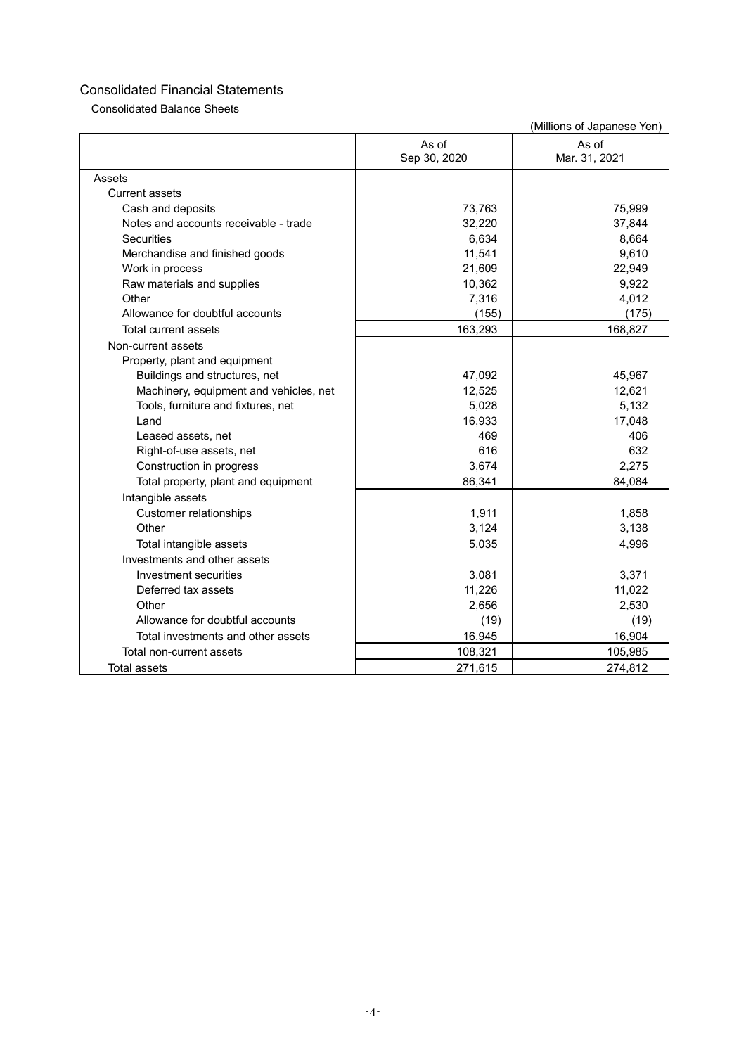Consolidated Balance Sheets

|                                        | As of<br>Sep 30, 2020 | As of<br>Mar. 31, 2021 |
|----------------------------------------|-----------------------|------------------------|
| Assets                                 |                       |                        |
| <b>Current assets</b>                  |                       |                        |
| Cash and deposits                      | 73,763                | 75,999                 |
| Notes and accounts receivable - trade  | 32,220                | 37,844                 |
| Securities                             | 6,634                 | 8,664                  |
| Merchandise and finished goods         | 11,541                | 9,610                  |
| Work in process                        | 21,609                | 22,949                 |
| Raw materials and supplies             | 10,362                | 9,922                  |
| Other                                  | 7,316                 | 4,012                  |
| Allowance for doubtful accounts        | (155)                 | (175)                  |
| Total current assets                   | 163,293               | 168,827                |
| Non-current assets                     |                       |                        |
| Property, plant and equipment          |                       |                        |
| Buildings and structures, net          | 47,092                | 45,967                 |
| Machinery, equipment and vehicles, net | 12,525                | 12,621                 |
| Tools, furniture and fixtures, net     | 5,028                 | 5,132                  |
| Land                                   | 16,933                | 17,048                 |
| Leased assets, net                     | 469                   | 406                    |
| Right-of-use assets, net               | 616                   | 632                    |
| Construction in progress               | 3,674                 | 2,275                  |
| Total property, plant and equipment    | 86,341                | 84,084                 |
| Intangible assets                      |                       |                        |
| Customer relationships                 | 1,911                 | 1,858                  |
| Other                                  | 3,124                 | 3,138                  |
| Total intangible assets                | 5,035                 | 4,996                  |
| Investments and other assets           |                       |                        |
| Investment securities                  | 3,081                 | 3,371                  |
| Deferred tax assets                    | 11,226                | 11,022                 |
| Other                                  | 2,656                 | 2,530                  |
| Allowance for doubtful accounts        | (19)                  | (19)                   |
| Total investments and other assets     | 16,945                | 16,904                 |
| Total non-current assets               | 108,321               | 105,985                |
| <b>Total assets</b>                    | 271,615               | 274,812                |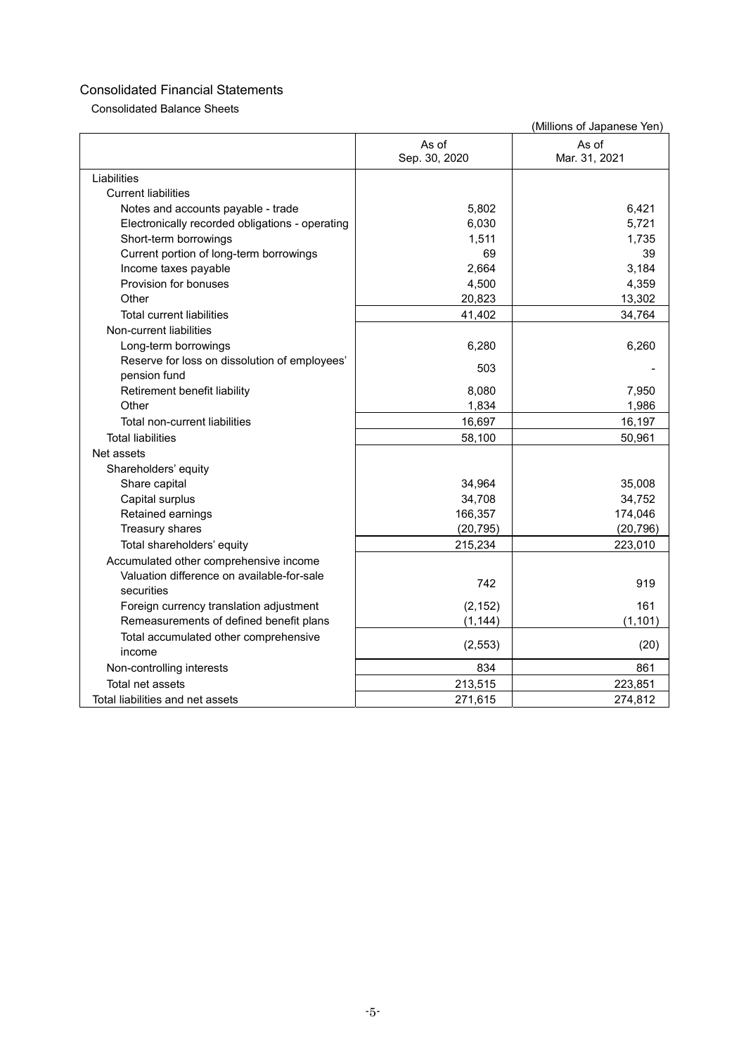Consolidated Balance Sheets

|                                                 | As of<br>Sep. 30, 2020 | As of<br>Mar. 31, 2021 |
|-------------------------------------------------|------------------------|------------------------|
|                                                 |                        |                        |
| Liabilities                                     |                        |                        |
| <b>Current liabilities</b>                      |                        |                        |
| Notes and accounts payable - trade              | 5,802                  | 6,421                  |
| Electronically recorded obligations - operating | 6,030                  | 5,721                  |
| Short-term borrowings                           | 1,511                  | 1,735                  |
| Current portion of long-term borrowings         | 69                     | 39                     |
| Income taxes payable                            | 2,664                  | 3,184                  |
| Provision for bonuses                           | 4,500                  | 4,359                  |
| Other                                           | 20,823                 | 13,302                 |
| <b>Total current liabilities</b>                | 41,402                 | 34,764                 |
| Non-current liabilities                         |                        |                        |
| Long-term borrowings                            | 6,280                  | 6,260                  |
| Reserve for loss on dissolution of employees'   |                        |                        |
| pension fund                                    | 503                    |                        |
| Retirement benefit liability                    | 8,080                  | 7,950                  |
| Other                                           | 1,834                  | 1,986                  |
| Total non-current liabilities                   | 16,697                 | 16,197                 |
| <b>Total liabilities</b>                        | 58,100                 | 50,961                 |
| Net assets                                      |                        |                        |
| Shareholders' equity                            |                        |                        |
| Share capital                                   | 34,964                 | 35,008                 |
| Capital surplus                                 | 34,708                 | 34,752                 |
| Retained earnings                               | 166,357                | 174,046                |
| Treasury shares                                 | (20, 795)              | (20, 796)              |
| Total shareholders' equity                      | 215,234                | 223,010                |
| Accumulated other comprehensive income          |                        |                        |
| Valuation difference on available-for-sale      |                        |                        |
| securities                                      | 742                    | 919                    |
| Foreign currency translation adjustment         | (2, 152)               | 161                    |
| Remeasurements of defined benefit plans         | (1, 144)               | (1, 101)               |
| Total accumulated other comprehensive           |                        |                        |
| income                                          | (2, 553)               | (20)                   |
| Non-controlling interests                       | 834                    | 861                    |
| Total net assets                                | 213,515                | 223,851                |
| Total liabilities and net assets                | 271.615                | 274,812                |
|                                                 |                        |                        |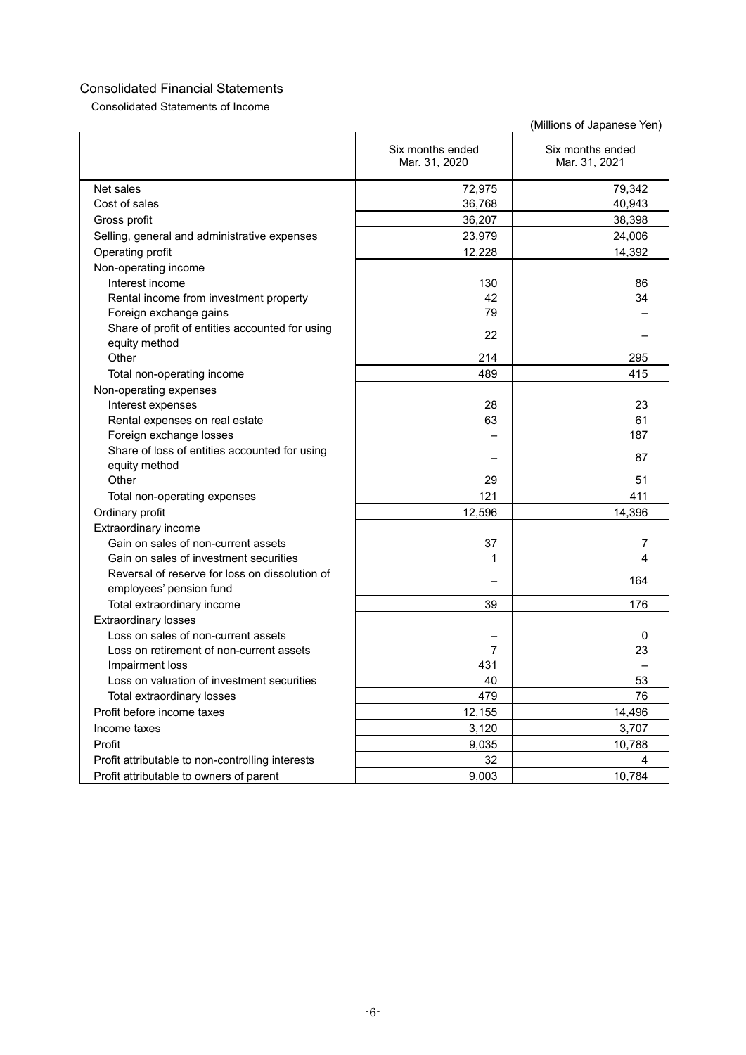Consolidated Statements of Income

|                                                                  |                                   | (Millions of Japanese Yen)        |
|------------------------------------------------------------------|-----------------------------------|-----------------------------------|
|                                                                  | Six months ended<br>Mar. 31, 2020 | Six months ended<br>Mar. 31, 2021 |
| Net sales                                                        | 72,975                            | 79,342                            |
| Cost of sales                                                    | 36,768                            | 40,943                            |
| Gross profit                                                     | 36,207                            | 38,398                            |
| Selling, general and administrative expenses                     | 23,979                            | 24,006                            |
| Operating profit                                                 | 12,228                            | 14,392                            |
| Non-operating income                                             |                                   |                                   |
| Interest income                                                  | 130                               | 86                                |
| Rental income from investment property                           | 42                                | 34                                |
| Foreign exchange gains                                           | 79                                |                                   |
| Share of profit of entities accounted for using<br>equity method | 22                                |                                   |
| Other                                                            | 214                               | 295                               |
| Total non-operating income                                       | 489                               | 415                               |
| Non-operating expenses                                           |                                   |                                   |
| Interest expenses                                                | 28                                | 23                                |
| Rental expenses on real estate                                   | 63                                | 61                                |
| Foreign exchange losses                                          |                                   | 187                               |
| Share of loss of entities accounted for using                    |                                   | 87                                |
| equity method                                                    |                                   |                                   |
| Other                                                            | 29                                | 51                                |
| Total non-operating expenses                                     | 121                               | 411                               |
| Ordinary profit                                                  | 12,596                            | 14,396                            |
| Extraordinary income                                             |                                   |                                   |
| Gain on sales of non-current assets                              | 37                                | 7                                 |
| Gain on sales of investment securities                           | 1                                 | 4                                 |
| Reversal of reserve for loss on dissolution of                   |                                   | 164                               |
| employees' pension fund                                          |                                   |                                   |
| Total extraordinary income                                       | 39                                | 176                               |
| <b>Extraordinary losses</b>                                      |                                   |                                   |
| Loss on sales of non-current assets                              |                                   | 0                                 |
| Loss on retirement of non-current assets                         | 7                                 | 23                                |
| Impairment loss                                                  | 431                               |                                   |
| Loss on valuation of investment securities                       | 40                                | 53                                |
| Total extraordinary losses                                       | 479                               | 76                                |
| Profit before income taxes                                       | 12,155                            | 14,496                            |
| Income taxes                                                     | 3,120                             | 3,707                             |
| Profit                                                           | 9,035                             | 10,788                            |
| Profit attributable to non-controlling interests                 | 32                                | 4                                 |
| Profit attributable to owners of parent                          | 9,003                             | 10,784                            |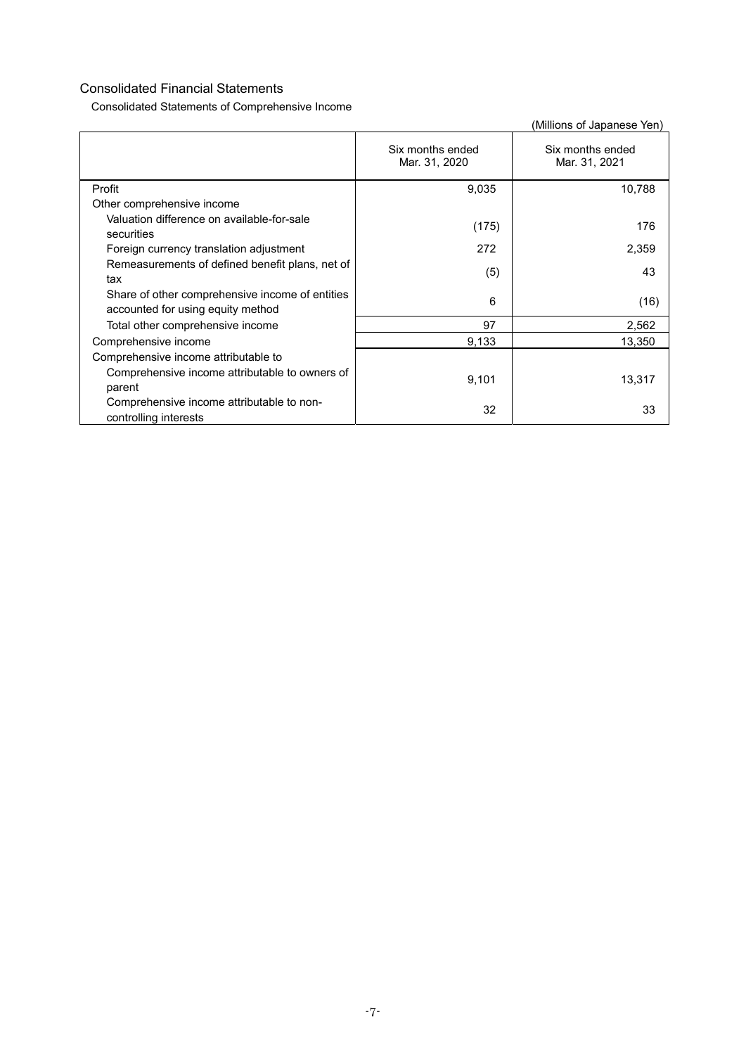Consolidated Statements of Comprehensive Income

|                                                                                      | Six months ended<br>Mar. 31, 2020 | Six months ended<br>Mar. 31, 2021 |
|--------------------------------------------------------------------------------------|-----------------------------------|-----------------------------------|
| Profit                                                                               | 9,035                             | 10,788                            |
| Other comprehensive income                                                           |                                   |                                   |
| Valuation difference on available-for-sale<br>securities                             | (175)                             | 176                               |
| Foreign currency translation adjustment                                              | 272                               | 2,359                             |
| Remeasurements of defined benefit plans, net of<br>tax                               | (5)                               | 43                                |
| Share of other comprehensive income of entities<br>accounted for using equity method | 6                                 | (16)                              |
| Total other comprehensive income                                                     | 97                                | 2,562                             |
| Comprehensive income                                                                 | 9,133                             | 13,350                            |
| Comprehensive income attributable to                                                 |                                   |                                   |
| Comprehensive income attributable to owners of<br>parent                             | 9,101                             | 13,317                            |
| Comprehensive income attributable to non-<br>controlling interests                   | 32                                | 33                                |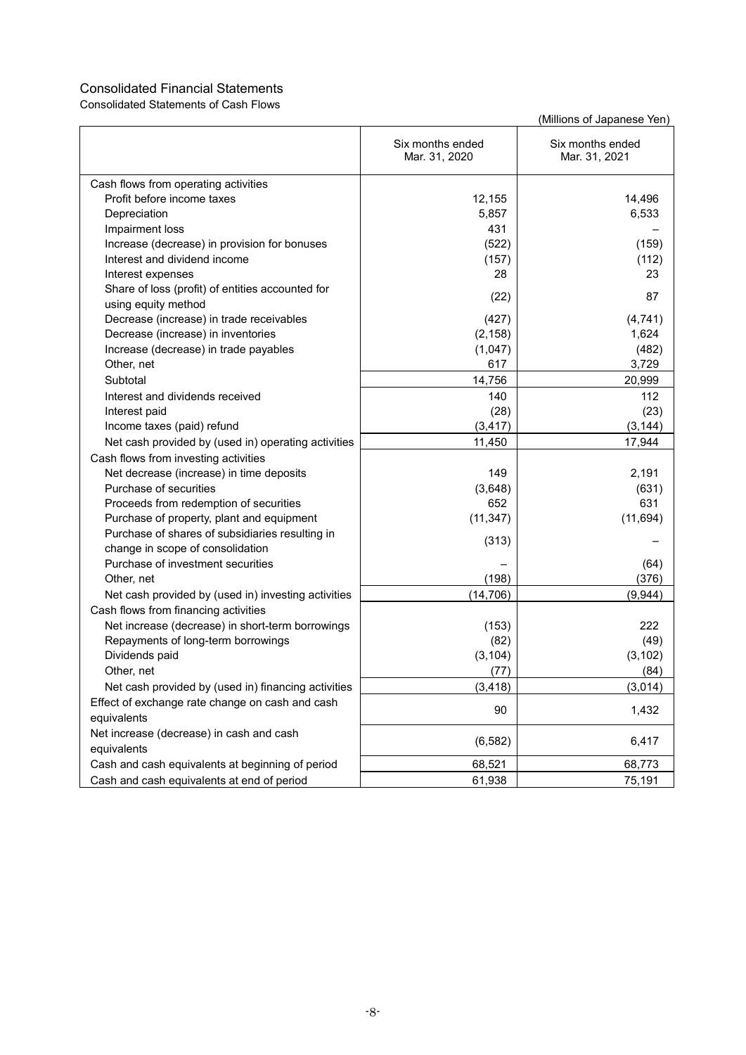Consolidated Statements of Cash Flows

|                                                                         | Six months ended<br>Mar. 31, 2020 | Six months ended<br>Mar. 31, 2021 |
|-------------------------------------------------------------------------|-----------------------------------|-----------------------------------|
| Cash flows from operating activities                                    |                                   |                                   |
| Profit before income taxes                                              | 12,155                            | 14,496                            |
| Depreciation                                                            | 5,857                             | 6,533                             |
| Impairment loss                                                         | 431                               |                                   |
| Increase (decrease) in provision for bonuses                            | (522)                             | (159)                             |
| Interest and dividend income                                            | (157)                             | (112)                             |
| Interest expenses                                                       | 28                                | 23                                |
| Share of loss (profit) of entities accounted for<br>using equity method | (22)                              | 87                                |
| Decrease (increase) in trade receivables                                | (427)                             | (4,741)                           |
| Decrease (increase) in inventories                                      | (2, 158)                          | 1,624                             |
| Increase (decrease) in trade payables                                   | (1,047)                           | (482)                             |
| Other, net                                                              | 617                               | 3,729                             |
| Subtotal                                                                | 14,756                            | 20,999                            |
| Interest and dividends received                                         | 140                               | 112                               |
| Interest paid                                                           | (28)                              | (23)                              |
| Income taxes (paid) refund                                              | (3, 417)                          | (3, 144)                          |
| Net cash provided by (used in) operating activities                     | 11,450                            | 17,944                            |
| Cash flows from investing activities                                    |                                   |                                   |
| Net decrease (increase) in time deposits                                | 149                               | 2,191                             |
| Purchase of securities                                                  | (3,648)                           | (631)                             |
| Proceeds from redemption of securities                                  | 652                               | 631                               |
| Purchase of property, plant and equipment                               | (11, 347)                         | (11, 694)                         |
| Purchase of shares of subsidiaries resulting in                         |                                   |                                   |
| change in scope of consolidation                                        | (313)                             |                                   |
| Purchase of investment securities                                       |                                   | (64)                              |
| Other, net                                                              | (198)                             | (376)                             |
| Net cash provided by (used in) investing activities                     | (14, 706)                         | (9,944)                           |
| Cash flows from financing activities                                    |                                   |                                   |
| Net increase (decrease) in short-term borrowings                        | (153)                             | 222                               |
| Repayments of long-term borrowings                                      | (82)                              | (49)                              |
| Dividends paid                                                          | (3, 104)                          | (3, 102)                          |
| Other, net                                                              | (77)                              | (84)                              |
| Net cash provided by (used in) financing activities                     | (3, 418)                          | (3,014)                           |
| Effect of exchange rate change on cash and cash                         | 90                                | 1,432                             |
| equivalents                                                             |                                   |                                   |
| Net increase (decrease) in cash and cash                                | (6, 582)                          | 6,417                             |
| equivalents                                                             |                                   |                                   |
| Cash and cash equivalents at beginning of period                        | 68,521                            | 68,773                            |
| Cash and cash equivalents at end of period                              | 61,938                            | 75,191                            |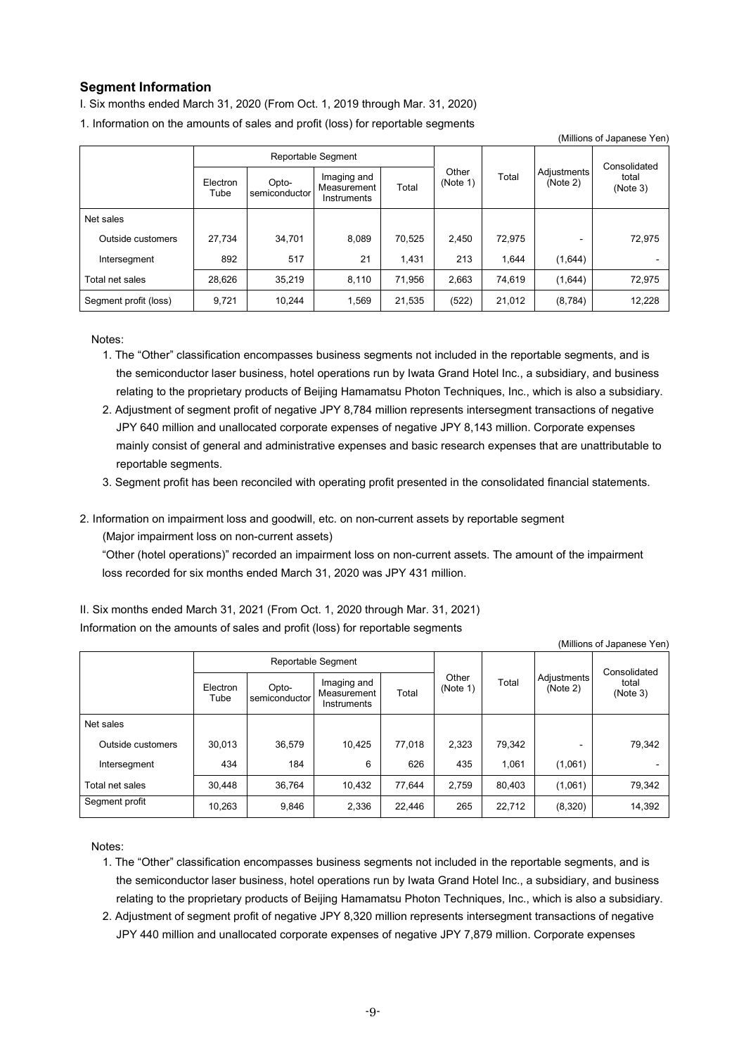## **Segment Information**

I. Six months ended March 31, 2020 (From Oct. 1, 2019 through Mar. 31, 2020)

1. Information on the amounts of sales and profit (loss) for reportable segments

|                       | (Millions of Japanese Yen) |                        |                                           |        |                   |        |                         |                   |  |
|-----------------------|----------------------------|------------------------|-------------------------------------------|--------|-------------------|--------|-------------------------|-------------------|--|
| Reportable Segment    |                            |                        |                                           |        |                   |        |                         | Consolidated      |  |
|                       | Electron<br>Tube           | Opto-<br>semiconductor | Imaging and<br>Measurement<br>Instruments | Total  | Other<br>(Note 1) | Total  | Adjustments<br>(Note 2) | total<br>(Note 3) |  |
| Net sales             |                            |                        |                                           |        |                   |        |                         |                   |  |
| Outside customers     | 27.734                     | 34.701                 | 8,089                                     | 70.525 | 2,450             | 72.975 |                         | 72,975            |  |
| Intersegment          | 892                        | 517                    | 21                                        | 1,431  | 213               | 1,644  | (1,644)                 |                   |  |
| Total net sales       | 28,626                     | 35,219                 | 8,110                                     | 71,956 | 2,663             | 74,619 | (1,644)                 | 72,975            |  |
| Segment profit (loss) | 9,721                      | 10,244                 | 1,569                                     | 21,535 | (522)             | 21,012 | (8,784)                 | 12,228            |  |

Notes:

- 1. The "Other" classification encompasses business segments not included in the reportable segments, and is the semiconductor laser business, hotel operations run by Iwata Grand Hotel Inc., a subsidiary, and business relating to the proprietary products of Beijing Hamamatsu Photon Techniques, Inc., which is also a subsidiary.
- 2. Adjustment of segment profit of negative JPY 8,784 million represents intersegment transactions of negative JPY 640 million and unallocated corporate expenses of negative JPY 8,143 million. Corporate expenses mainly consist of general and administrative expenses and basic research expenses that are unattributable to reportable segments.
- 3. Segment profit has been reconciled with operating profit presented in the consolidated financial statements.

2. Information on impairment loss and goodwill, etc. on non-current assets by reportable segment

(Major impairment loss on non-current assets)

"Other (hotel operations)" recorded an impairment loss on non-current assets. The amount of the impairment loss recorded for six months ended March 31, 2020 was JPY 431 million.

II. Six months ended March 31, 2021 (From Oct. 1, 2020 through Mar. 31, 2021) Information on the amounts of sales and profit (loss) for reportable segments

 (Millions of Japanese Yen) Reportable Segment **Other** Other | Total | Adjustments<br>(Note 1) | Total (Note 2) (Note 2) Consolidated total<br>(Note 3) Electron Opto- mineging and Total (Note 1) The (Note 2) (Note 3) **Tube** Optosemiconductor Imaging and **Measurement** Instruments Total Net sales Outside customers | 30,013 | 36,579 | 10,425 | 77,018 | 2,323 | 79,342 | - | 79,342 Intersegment | 434 | 184 | 6 626 435 1,061 | (1,061) Total net sales  $\begin{array}{|c|c|c|c|c|c|c|c|c|} \hline \end{array}$  30,448 36,764 10,432 77,644 2,759 80,403 (1,061) 79,342 Segment profit 10,263 9,846 2,336 22,446 265 22,712 (8,320) 14,392

Notes:

- 1. The "Other" classification encompasses business segments not included in the reportable segments, and is the semiconductor laser business, hotel operations run by Iwata Grand Hotel Inc., a subsidiary, and business relating to the proprietary products of Beijing Hamamatsu Photon Techniques, Inc., which is also a subsidiary.
- 2. Adjustment of segment profit of negative JPY 8,320 million represents intersegment transactions of negative JPY 440 million and unallocated corporate expenses of negative JPY 7,879 million. Corporate expenses